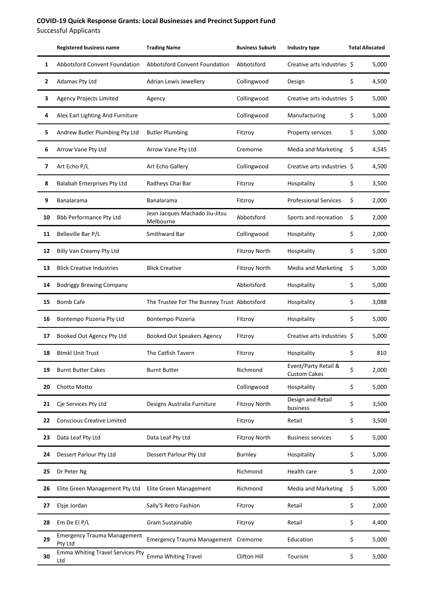Successful Applicants

|                          | <b>Registered business name</b>               | <b>Trading Name</b>                         | <b>Business Suburb</b> | Industry type                               | <b>Total Allocated</b> |       |
|--------------------------|-----------------------------------------------|---------------------------------------------|------------------------|---------------------------------------------|------------------------|-------|
| $\mathbf{1}$             | Abbotsford Convent Foundation                 | Abbotsford Convent Foundation               | Abbotsford             | Creative arts industries \$                 |                        | 5,000 |
| $\mathbf{2}$             | Adamas Pty Ltd                                | Adrian Lewis Jewellery                      | Collingwood            | Design                                      | \$                     | 4,500 |
| З                        | <b>Agency Projects Limited</b>                | Agency                                      | Collingwood            | Creative arts industries \$                 |                        | 5,000 |
| 4                        | Alex Earl Lighting And Furniture              |                                             | Collingwood            | Manufacturing                               | \$                     | 5,000 |
| 5                        | Andrew Butler Plumbing Pty Ltd                | <b>Butler Plumbing</b>                      | Fitzroy                | Property services                           | \$                     | 5,000 |
| 6                        | Arrow Vane Pty Ltd                            | Arrow Vane Pty Ltd                          | Cremorne               | <b>Media and Marketing</b>                  | \$                     | 4,545 |
| $\overline{\phantom{a}}$ | Art Echo P/L                                  | Art Echo Gallery                            | Collingwood            | Creative arts industries \$                 |                        | 4,500 |
| 8                        | Balabah Enterprises Pty Ltd                   | Radheys Chai Bar                            | Fitzroy                | Hospitality                                 | \$                     | 3,500 |
| 9                        | Banalarama                                    | Banalarama                                  | Fitzroy                | <b>Professional Services</b>                | \$                     | 2,000 |
| 10                       | <b>Bbb Performance Pty Ltd</b>                | Jean Jacques Machado Jiu-Jitsu<br>Melbourne | Abbotsford             | Sports and recreation                       | \$                     | 2,000 |
| 11                       | Belleville Bar P/L                            | Smithward Bar                               | Collingwood            | Hospitality                                 | \$                     | 2,000 |
| 12                       | Billy Van Creamy Pty Ltd                      |                                             | <b>Fitzroy North</b>   | Hospitality                                 | \$                     | 5,000 |
| 13                       | <b>Blick Creative Industries</b>              | <b>Blick Creative</b>                       | <b>Fitzroy North</b>   | <b>Media and Marketing</b>                  | \$                     | 5,000 |
| 14                       | <b>Bodriggy Brewing Company</b>               |                                             | Abbotsford             | Hospitality                                 | \$                     | 5,000 |
| 15                       | <b>Bomb Cafe</b>                              | The Trustee For The Bunney Trust Abbotsford |                        | Hospitality                                 | \$                     | 3,088 |
| 16                       | Bontempo Pizzeria Pty Ltd                     | Bontempo Pizzeria                           | Fitzroy                | Hospitality                                 | \$                     | 5,000 |
| 17                       | Booked Out Agency Pty Ltd                     | Booked Out Speakers Agency                  | Fitzroy                | Creative arts industries \$                 |                        | 5,000 |
| 18                       | <b>Btmkl Unit Trust</b>                       | The Catfish Tavern                          | Fitzroy                | Hospitality                                 | \$                     | 810   |
| 19                       | <b>Burnt Butter Cakes</b>                     | <b>Burnt Butter</b>                         | Richmond               | Event/Party Retail &<br><b>Custom Cakes</b> | \$                     | 2,000 |
| 20                       | Chotto Motto                                  |                                             | Collingwood            | Hospitality                                 | \$                     | 5,000 |
| 21                       | Cje Services Pty Ltd                          | Designs Australia Furniture                 | <b>Fitzroy North</b>   | Design and Retail<br>business               | \$                     | 3,500 |
| 22                       | <b>Conscious Creative Limited</b>             |                                             | Fitzroy                | Retail                                      | \$                     | 3,500 |
| 23                       | Data Leaf Pty Ltd                             | Data Leaf Pty Ltd                           | <b>Fitzroy North</b>   | <b>Business services</b>                    | \$                     | 5,000 |
| 24                       | Dessert Parlour Pty Ltd                       | Dessert Parlour Pty Ltd                     | Burnley                | Hospitality                                 | \$                     | 5,000 |
| 25                       | Dr Peter Ng                                   |                                             | Richmond               | Health care                                 | \$                     | 2,000 |
| 26                       | Elite Green Management Pty Ltd                | Elite Green Management                      | Richmond               | <b>Media and Marketing</b>                  | \$                     | 5,000 |
| 27                       | Elsje Jordan                                  | Sally'S Retro Fashion                       | Fitzroy                | Retail                                      | \$                     | 2,000 |
| 28                       | Em De El P/L                                  | Gram Sustainable                            | Fitzroy                | Retail                                      | \$                     | 4,400 |
| 29                       | <b>Emergency Trauma Management</b><br>Pty Ltd | Emergency Trauma Management Cremorne        |                        | Education                                   | \$                     | 5,000 |
| 30                       | Emma Whiting Travel Services Pty<br>Ltd       | <b>Emma Whiting Travel</b>                  | Clifton Hill           | Tourism                                     | \$                     | 5,000 |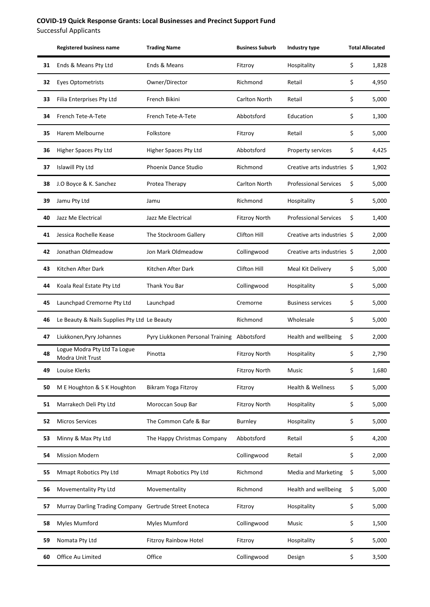Successful Applicants

|    | <b>Registered business name</b>                  | <b>Trading Name</b>              | <b>Business Suburb</b> | Industry type                | <b>Total Allocated</b> |       |
|----|--------------------------------------------------|----------------------------------|------------------------|------------------------------|------------------------|-------|
| 31 | Ends & Means Pty Ltd                             | Ends & Means                     | Fitzroy                | Hospitality                  | \$                     | 1,828 |
| 32 | <b>Eyes Optometrists</b>                         | Owner/Director                   | Richmond               | Retail                       | \$                     | 4,950 |
| 33 | Filia Enterprises Pty Ltd                        | French Bikini                    | Carlton North          | Retail                       | \$                     | 5,000 |
| 34 | French Tete-A-Tete                               | French Tete-A-Tete               | Abbotsford             | Education                    | \$                     | 1,300 |
| 35 | Harem Melbourne                                  | Folkstore                        | Fitzroy                | Retail                       | \$                     | 5,000 |
| 36 | Higher Spaces Pty Ltd                            | Higher Spaces Pty Ltd            | Abbotsford             | Property services            | \$                     | 4,425 |
| 37 | <b>Islawill Pty Ltd</b>                          | Phoenix Dance Studio             | Richmond               | Creative arts industries \$  |                        | 1,902 |
| 38 | J.O Boyce & K. Sanchez                           | Protea Therapy                   | Carlton North          | <b>Professional Services</b> | \$                     | 5,000 |
| 39 | Jamu Pty Ltd                                     | Jamu                             | Richmond               | Hospitality                  | \$                     | 5,000 |
| 40 | Jazz Me Electrical                               | Jazz Me Electrical               | <b>Fitzroy North</b>   | <b>Professional Services</b> | \$                     | 1,400 |
| 41 | Jessica Rochelle Kease                           | The Stockroom Gallery            | <b>Clifton Hill</b>    | Creative arts industries \$  |                        | 2,000 |
| 42 | Jonathan Oldmeadow                               | Jon Mark Oldmeadow               | Collingwood            | Creative arts industries \$  |                        | 2,000 |
| 43 | Kitchen After Dark                               | Kitchen After Dark               | <b>Clifton Hill</b>    | Meal Kit Delivery            | \$                     | 5,000 |
| 44 | Koala Real Estate Pty Ltd                        | Thank You Bar                    | Collingwood            | Hospitality                  | \$                     | 5,000 |
| 45 | Launchpad Cremorne Pty Ltd                       | Launchpad                        | Cremorne               | <b>Business services</b>     | \$                     | 5,000 |
| 46 | Le Beauty & Nails Supplies Pty Ltd Le Beauty     |                                  | Richmond               | Wholesale                    | \$                     | 5,000 |
| 47 | Liukkonen, Pyry Johannes                         | Pyry Liukkonen Personal Training | Abbotsford             | Health and wellbeing         | \$                     | 2,000 |
| 48 | Logue Modra Pty Ltd Ta Logue<br>Modra Unit Trust | Pinotta                          | <b>Fitzroy North</b>   | Hospitality                  | \$                     | 2,790 |
| 49 | Louise Klerks                                    |                                  | <b>Fitzroy North</b>   | Music                        | \$                     | 1,680 |
| 50 | M E Houghton & S K Houghton                      | Bikram Yoga Fitzroy              | Fitzroy                | <b>Health &amp; Wellness</b> | \$                     | 5,000 |
| 51 | Marrakech Deli Pty Ltd                           | Moroccan Soup Bar                | <b>Fitzroy North</b>   | Hospitality                  | \$                     | 5,000 |
| 52 | <b>Micros Services</b>                           | The Common Cafe & Bar            | Burnley                | Hospitality                  | \$                     | 5,000 |
| 53 | Minny & Max Pty Ltd                              | The Happy Christmas Company      | Abbotsford             | Retail                       | \$                     | 4,200 |
| 54 | <b>Mission Modern</b>                            |                                  | Collingwood            | Retail                       | \$                     | 2,000 |
| 55 | Mmapt Robotics Pty Ltd                           | Mmapt Robotics Pty Ltd           | Richmond               | Media and Marketing          | \$                     | 5,000 |
| 56 | Movementality Pty Ltd                            | Movementality                    | Richmond               | Health and wellbeing         | \$                     | 5,000 |
| 57 | Murray Darling Trading Company                   | Gertrude Street Enoteca          | Fitzroy                | Hospitality                  | \$                     | 5,000 |
| 58 | Myles Mumford                                    | Myles Mumford                    | Collingwood            | Music                        | \$                     | 1,500 |
| 59 | Nomata Pty Ltd                                   | Fitzroy Rainbow Hotel            | Fitzroy                | Hospitality                  | \$                     | 5,000 |
| 60 | Office Au Limited                                | Office                           | Collingwood            | Design                       | \$                     | 3,500 |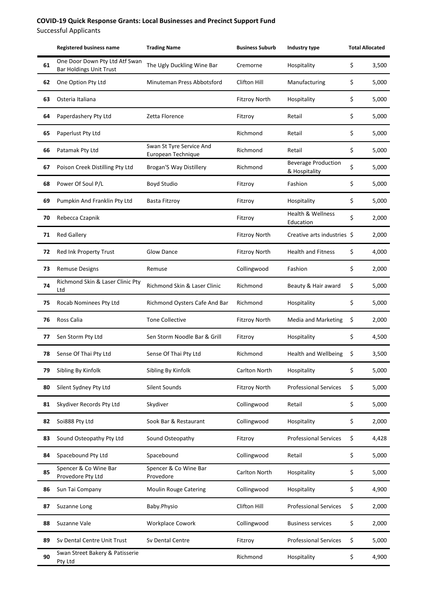Successful Applicants

|    | <b>Registered business name</b>                                  | <b>Trading Name</b>                            | <b>Business Suburb</b> | Industry type                               | <b>Total Allocated</b> |       |
|----|------------------------------------------------------------------|------------------------------------------------|------------------------|---------------------------------------------|------------------------|-------|
| 61 | One Door Down Pty Ltd Atf Swan<br><b>Bar Holdings Unit Trust</b> | The Ugly Duckling Wine Bar                     | Cremorne               | Hospitality                                 | \$                     | 3,500 |
| 62 | One Option Pty Ltd                                               | Minuteman Press Abbotsford                     | Clifton Hill           | Manufacturing                               | \$                     | 5,000 |
| 63 | Osteria Italiana                                                 |                                                | <b>Fitzroy North</b>   | Hospitality                                 | \$                     | 5,000 |
| 64 | Paperdashery Pty Ltd                                             | Zetta Florence                                 | Fitzroy                | Retail                                      | \$                     | 5,000 |
| 65 | Paperlust Pty Ltd                                                |                                                | Richmond               | Retail                                      | \$                     | 5,000 |
| 66 | Patamak Pty Ltd                                                  | Swan St Tyre Service And<br>European Technique | Richmond               | Retail                                      | \$                     | 5,000 |
| 67 | Poison Creek Distilling Pty Ltd                                  | <b>Brogan'S Way Distillery</b>                 | Richmond               | <b>Beverage Production</b><br>& Hospitality | \$                     | 5,000 |
| 68 | Power Of Soul P/L                                                | <b>Boyd Studio</b>                             | Fitzroy                | Fashion                                     | \$                     | 5,000 |
| 69 | Pumpkin And Franklin Pty Ltd                                     | <b>Basta Fitzroy</b>                           | Fitzroy                | Hospitality                                 | \$                     | 5,000 |
| 70 | Rebecca Czapnik                                                  |                                                | Fitzroy                | <b>Health &amp; Wellness</b><br>Education   | \$                     | 2,000 |
| 71 | <b>Red Gallery</b>                                               |                                                | <b>Fitzroy North</b>   | Creative arts industries \$                 |                        | 2,000 |
| 72 | Red Ink Property Trust                                           | <b>Glow Dance</b>                              | <b>Fitzroy North</b>   | <b>Health and Fitness</b>                   | \$                     | 4,000 |
| 73 | <b>Remuse Designs</b>                                            | Remuse                                         | Collingwood            | Fashion                                     | \$                     | 2,000 |
| 74 | Richmond Skin & Laser Clinic Pty<br>Ltd                          | Richmond Skin & Laser Clinic                   | Richmond               | Beauty & Hair award                         | \$                     | 5,000 |
| 75 | Rocab Nominees Pty Ltd                                           | Richmond Oysters Cafe And Bar                  | Richmond               | Hospitality                                 | \$                     | 5,000 |
| 76 | Ross Calia                                                       | <b>Tone Collective</b>                         | <b>Fitzroy North</b>   | <b>Media and Marketing</b>                  | \$                     | 2,000 |
| 77 | Sen Storm Pty Ltd                                                | Sen Storm Noodle Bar & Grill                   | Fitzroy                | Hospitality                                 | \$                     | 4,500 |
| 78 | Sense Of Thai Pty Ltd                                            | Sense Of Thai Pty Ltd                          | Richmond               | <b>Health and Wellbeing</b>                 | \$                     | 3,500 |
| 79 | Sibling By Kinfolk                                               | Sibling By Kinfolk                             | Carlton North          | Hospitality                                 | \$                     | 5,000 |
| 80 | Silent Sydney Pty Ltd                                            | <b>Silent Sounds</b>                           | <b>Fitzroy North</b>   | <b>Professional Services</b>                | \$                     | 5,000 |
| 81 | Skydiver Records Pty Ltd                                         | Skydiver                                       | Collingwood            | Retail                                      | \$                     | 5,000 |
| 82 | Soi888 Pty Ltd                                                   | Sook Bar & Restaurant                          | Collingwood            | Hospitality                                 | \$                     | 2,000 |
| 83 | Sound Osteopathy Pty Ltd                                         | Sound Osteopathy                               | Fitzroy                | <b>Professional Services</b>                | \$                     | 4,428 |
| 84 | Spacebound Pty Ltd                                               | Spacebound                                     | Collingwood            | Retail                                      | \$                     | 5,000 |
| 85 | Spencer & Co Wine Bar<br>Provedore Pty Ltd                       | Spencer & Co Wine Bar<br>Provedore             | Carlton North          | Hospitality                                 | \$                     | 5,000 |
| 86 | Sun Tai Company                                                  | <b>Moulin Rouge Catering</b>                   | Collingwood            | Hospitality                                 | \$                     | 4,900 |
| 87 | Suzanne Long                                                     | Baby.Physio                                    | <b>Clifton Hill</b>    | <b>Professional Services</b>                | \$                     | 2,000 |
| 88 | Suzanne Vale                                                     | Workplace Cowork                               | Collingwood            | <b>Business services</b>                    | \$                     | 2,000 |
| 89 | Sv Dental Centre Unit Trust                                      | Sv Dental Centre                               | Fitzroy                | <b>Professional Services</b>                | \$                     | 5,000 |
| 90 | Swan Street Bakery & Patisserie<br>Pty Ltd                       |                                                | Richmond               | Hospitality                                 | \$                     | 4,900 |